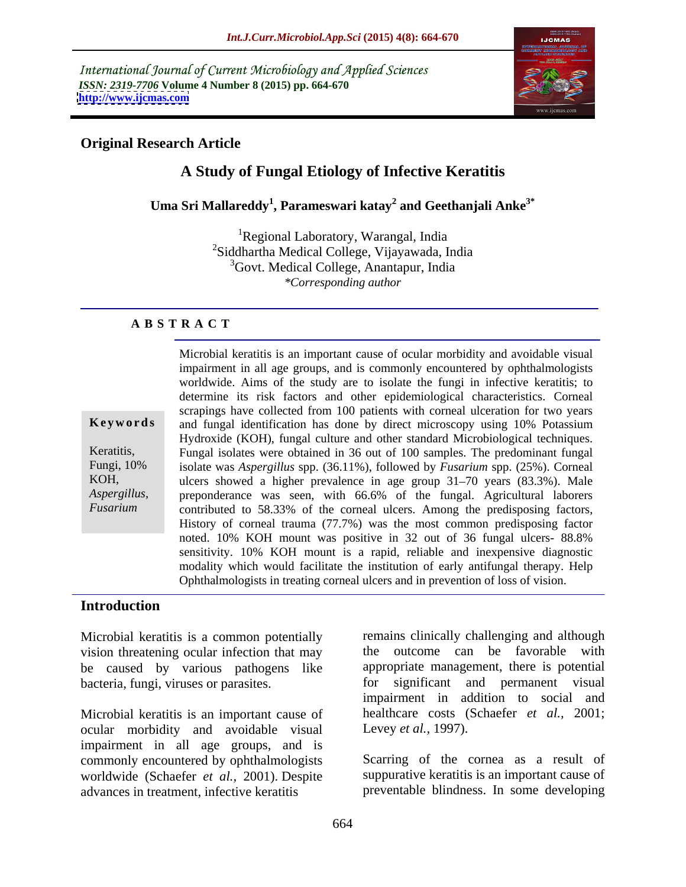International Journal of Current Microbiology and Applied Sciences *ISSN: 2319-7706* **Volume 4 Number 8 (2015) pp. 664-670 <http://www.ijcmas.com>**



## **Original Research Article**

# **A Study of Fungal Etiology of Infective Keratitis**

**Uma Sri Mallareddy<sup>1</sup> , Parameswari katay<sup>2</sup> and Geethanjali Anke3\***

<sup>1</sup>Regional Laboratory, Warangal, India 2Siddhartha Medical College, Vijayawada, India 3Govt. Medical College, Anantapur, India *\*Corresponding author*

## **A B S T R A C T**

*Fusarium*

Microbial keratitis is an important cause of ocular morbidity and avoidable visual impairment in all age groups, and is commonly encountered by ophthalmologists worldwide. Aims of the study are to isolate the fungi in infective keratitis; to determine its risk factors and other epidemiological characteristics. Corneal scrapings have collected from 100 patients with corneal ulceration for two years **Keywords** and fungal identification has done by direct microscopy using 10% Potassium Hydroxide (KOH), fungal culture and other standard Microbiological techniques. Fungal isolates were obtained in 36 out of 100 samples. The predominant fungal Keratitis, isolate was *Aspergillus* spp. (36.11%), followed by *Fusarium* spp. (25%). Corneal Fungi, 10% KOH, ulcers showed a higher prevalence in age group 31–70 years (83.3%). Male preponderance was seen, with 66.6% of the fungal. Agricultural laborers *Aspergillus,*  contributed to 58.33% of the corneal ulcers. Among the predisposing factors, History of corneal trauma (77.7%) was the most common predisposing factor noted. 10% KOH mount was positive in 32 out of 36 fungal ulcers- 88.8% sensitivity. 10% KOH mount is a rapid, reliable and inexpensive diagnostic modality which would facilitate the institution of early antifungal therapy. Help Ophthalmologists in treating corneal ulcers and in prevention of loss of vision.

## **Introduction**

Microbial keratitis is a common potentially vision threatening ocular infection that may be caused by various pathogens like bacteria, fungi, viruses or parasites.

ocular morbidity and avoidable visual impairment in all age groups, and is commonly encountered by ophthalmologists worldwide (Schaefer *et al.,* 2001). Despite advances in treatment, infective keratitis preventable blindness. In some developing

Microbial keratitis is an important cause of healthcare costs (Schaefer *et al.,* 2001; remains clinically challenging and although the outcome can be favorable with appropriate management, there is potential significant and permanent visual impairment in addition to social and Levey *et al.,* 1997).

> Scarring of the cornea as a result of suppurative keratitis is an important cause of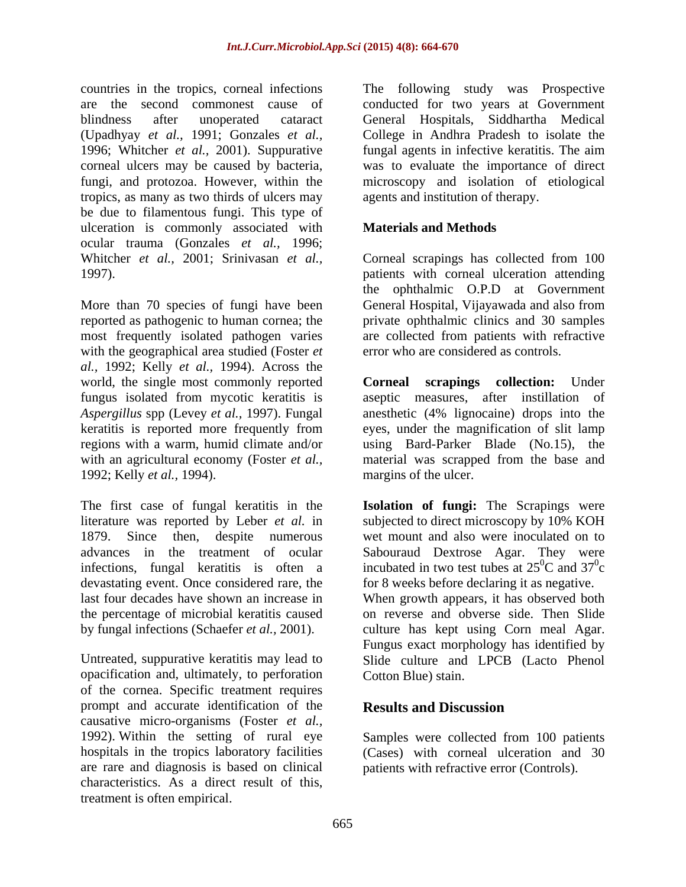countries in the tropics, corneal infections The following study was Prospective are the second commonest cause of conducted for two years at Government blindness after unoperated cataract General Hospitals, Siddhartha Medical (Upadhyay *et al.,* 1991; Gonzales *et al.,* College in Andhra Pradesh to isolate the 1996; Whitcher *et al.,* 2001). Suppurative fungal agents in infective keratitis. The aim corneal ulcers may be caused by bacteria, fungi, and protozoa. However, within the microscopy and isolation of etiological tropics, as many as two thirds of ulcers may be due to filamentous fungi. This type of ulceration is commonly associated with ocular trauma (Gonzales *et al.,* 1996; Whitcher *et al.,* 2001; Srinivasan *et al.,* Corneal scrapings has collected from 100 1997). patients with corneal ulceration attending

More than 70 species of fungi have been reported as pathogenic to human cornea; the private ophthalmic clinics and 30 samples most frequently isolated pathogen varies with the geographical area studied (Foster *et al.,* 1992; Kelly *et al.,* 1994). Across the world, the single most commonly reported **Corneal scrapings collection:** Under fungus isolated from mycotic keratitis is *Aspergillus* spp (Levey *et al.,* 1997). Fungal anesthetic (4% lignocaine) drops into the keratitis is reported more frequently from eyes, under the magnification of slit lamp regions with a warm, humid climate and/or using Bard-Parker Blade (No.15), the with an agricultural economy (Foster *et al.,* material was scrapped from the base and 1992; Kelly *et al.,* 1994).

The first case of fungal keratitis in the **Isolation of fungi:** The Scrapings were literature was reported by Leber *et al.* in subjected to direct microscopy by 10% KOH 1879. Since then, despite numerous wet mount and also were inoculated on to advances in the treatment of ocular Sabouraud Dextrose Agar. They were infections, fungal keratitis is often a devastating event. Once considered rare, the for 8 weeks before declaring it as negative. last four decades have shown an increase in When growth appears, it has observed both the percentage of microbial keratitis caused

opacification and, ultimately, to perforation of the cornea. Specific treatment requires prompt and accurate identification of the **Results and Discussion** causative micro-organisms (Foster *et al.,* 1992). Within the setting of rural eye hospitals in the tropics laboratory facilities are rare and diagnosis is based on clinical characteristics. As a direct result of this, treatment is often empirical.

was to evaluate the importance of direct agents and institution of therapy.

## **Materials and Methods**

the ophthalmic O.P.D at Government General Hospital, Vijayawada and also from are collected from patients with refractive error who are considered as controls.

**Corneal scrapings collection:** Under aseptic measures, after instillation of margins of the ulcer.

incubated in two test tubes at  $25^0C$  and  $37^0c$  ${}^{0}C$  and  $37{}^{0}c$  $\sigma_{\alpha}$ c and the contract of the contract of the contract of the contract of the contract of the contract of the contract of the contract of the contract of the contract of the contract of the contract of the contract of the cont

by fungal infections (Schaefer *et al.,* 2001). culture has kept using Corn meal Agar. Untreated, suppurative keratitis may lead to Slide culture and LPCB (Lacto Phenol on reverse and obverse side. Then Slide Fungus exact morphology has identified by Cotton Blue) stain.

## **Results and Discussion**

Samples were collected from 100 patients (Cases) with corneal ulceration and 30 patients with refractive error (Controls).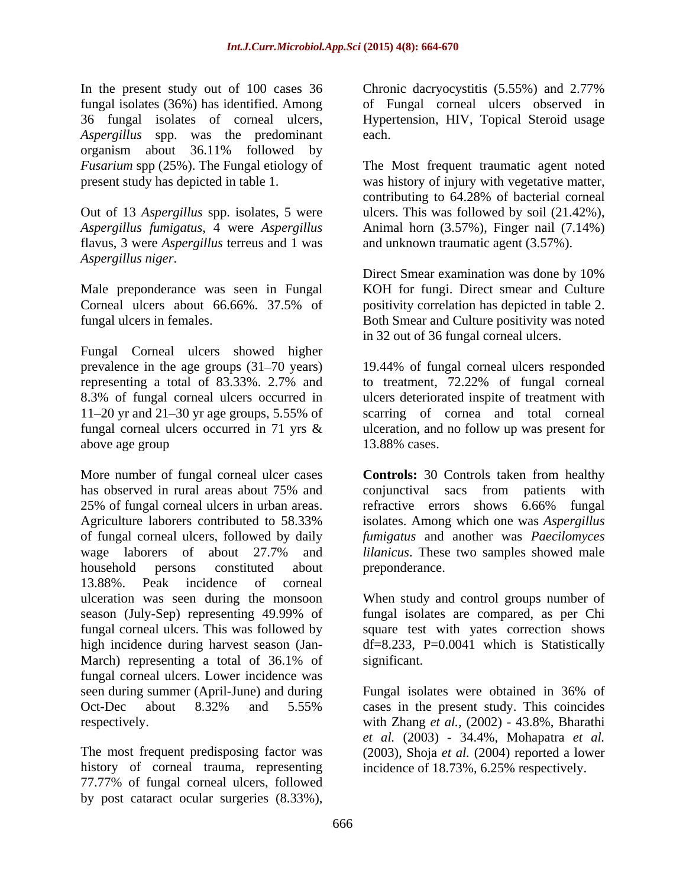In the present study out of 100 cases 36 Chronic dacryocystitis  $(5.55%)$  and 2.77% fungal isolates (36%) has identified. Among of Fungal corneal ulcers observed in 36 fungal isolates of corneal ulcers, Hypertension, HIV, Topical Steroid usage *Aspergillus* spp. was the predominant organism about 36.11% followed by *Fusarium* spp (25%). The Fungal etiology of The Most frequent traumatic agent noted

flavus, 3 were *Aspergillus* terreus and 1 was *Aspergillus niger*.

Male preponderance was seen in Fungal Corneal ulcers about 66.66%. 37.5% of

Fungal Corneal ulcers showed higher prevalence in the age groups  $(31-70 \text{ years})$ representing a total of 83.33%. 2.7% and to treatment, 72.22% of fungal corneal 8.3% of fungal corneal ulcers occurred in 11 20 yr and 21 30 yr age groups, 5.55% of scarring of cornea and total corneal fungal corneal ulcers occurred in 71 yrs & ulceration, and no follow up was present for above age group and the state of 13.88% cases.

More number of fungal corneal ulcer cases **Controls:** 30 Controls taken from healthy has observed in rural areas about 75% and conjunctival sacs from patients with 25% of fungal corneal ulcers in urban areas. The refractive errors shows 6.66% fungal Agriculture laborers contributed to 58.33% isolates. Among which one was Aspergillus of fungal corneal ulcers, followed by daily *fumigatus* and another was *Paecilomyces*  wage laborers of about 27.7% and *lilanicus*. These two samples showed male household persons constituted about 13.88%. Peak incidence of corneal ulceration was seen during the monsoon When study and control groups number of season (July-Sep) representing 49.99% of fungal corneal ulcers. This was followed by square test with yates correction shows high incidence during harvest season (Jan- df=8.233, P=0.0041 which is Statistically March) representing a total of 36.1% of fungal corneal ulcers. Lower incidence was seen during summer (April-June) and during Fungal isolates were obtained in 36% of Oct-Dec about 8.32% and 5.55% In the present and  $\chi$  post catar in the post catar in the post catar in the post catar in the post catar in the post catar in the present and in the post catar in the present of contain the surgeries (8.53%), and 2.77%

The most frequent predisposing factor was history of corneal trauma, representing 77.77% of fungal corneal ulcers, followed each. **Each** contract the contract of the contract of the contract of the contract of the contract of the contract of the contract of the contract of the contract of the contract of the contract of the contract of the cont

present study has depicted in table 1. was history of injury with vegetative matter, Out of 13 *Aspergillus* spp. isolates, 5 were ulcers. This was followed by soil (21.42%), *Aspergillus fumigatus*, 4 were *Aspergillus*  Animal horn (3.57%), Finger nail (7.14%) contributing to 64.28% of bacterial corneal and unknown traumatic agent (3.57%).

fungal ulcers in females. Both Smear and Culture positivity was noted Direct Smear examination was done by 10% KOH for fungi. Direct smear and Culture positivity correlation has depicted in table 2. in 32 out of 36 fungal corneal ulcers.

> 19.44% of fungal corneal ulcers responded ulcers deteriorated inspite of treatment with 13.88% cases.

conjunctival sacs from patients with refractive errors shows 6.66% fungal isolates. Among which one was *Aspergillus*  preponderance.

fungal isolates are compared, as per Chi significant.

respectively. with Zhang *et al.,* (2002) - 43.8%, Bharathi Fungal isolates were obtained in 36% of cases in the present study. This coincides *et al.* (2003) - 34.4%, Mohapatra *et al.* (2003), Shoja *et al.* (2004) reported a lower incidence of 18.73%, 6.25% respectively.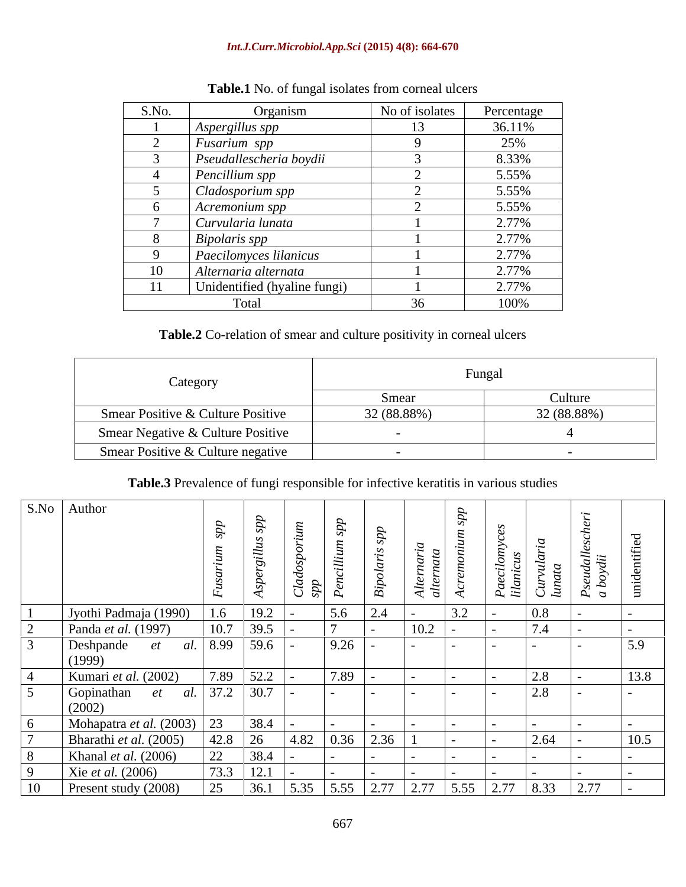### *Int.J.Curr.Microbiol.App.Sci* **(2015) 4(8): 664-670**

| S.No. | Organism                     | No of isolates | Percentage |
|-------|------------------------------|----------------|------------|
|       | Aspergillus spp              |                | 36.11%     |
|       | Fusarium spp                 |                | 25%        |
|       | Pseudallescheria boydii      |                | 8.33%      |
|       | Pencillium spp               |                | 5.55%      |
|       | Cladosporium spp             |                | 5.55%      |
|       | Acremonium spp               |                | 5.55%      |
|       | Curvularia lunata            |                | 2.77%      |
|       | Bipolaris spp                |                | 2.77%      |
|       | Paecilomyces lilanicus       |                | 2.77%      |
| 10    | Alternaria alternata         |                | 2.77%      |
|       | Unidentified (hyaline fungi) |                | 2.77%      |
|       | Total                        | 36             | 100%       |

## **Table.1** No. of fungal isolates from corneal ulcers

# **Table.2** Co-relation of smear and culture positivity in corneal ulcers

| Category                          | Fungal      |             |  |  |
|-----------------------------------|-------------|-------------|--|--|
|                                   | Smear       | Culture     |  |  |
| Smear Positive & Culture Positive | 32 (88.88%) | 32 (88.88%) |  |  |
| Smear Negative & Culture Positive |             |             |  |  |
| Smear Positive & Culture negative |             |             |  |  |

# **Table.3** Prevalence of fungi responsible for infective keratitis in various studies

|    | S.No Author                   |                     |                       |                    |                                                                       |                           |                          |                    |                |                      |      |
|----|-------------------------------|---------------------|-----------------------|--------------------|-----------------------------------------------------------------------|---------------------------|--------------------------|--------------------|----------------|----------------------|------|
|    |                               |                     |                       |                    |                                                                       |                           |                          |                    |                |                      |      |
|    |                               |                     | $\sim$                |                    |                                                                       |                           |                          |                    |                |                      |      |
|    |                               |                     |                       |                    |                                                                       |                           |                          | ここ                 | $\overline{u}$ | Pseudall<br>a boydii |      |
|    |                               |                     |                       |                    |                                                                       | ັ<br>$\sim$ $\sim$ $\sim$ |                          |                    | $\overline{C}$ |                      |      |
|    |                               |                     |                       |                    |                                                                       |                           | $\overline{\phantom{a}}$ | $P_a$              |                |                      |      |
|    | Jyothi Padmaja (1990)         | 1.6                 | $\frac{19.2}{39.5}$ - | 5.6                | 2.4                                                                   |                           | 3.2                      |                    | 0.8            |                      |      |
|    | Panda <i>et al.</i> (1997)    | 10.7                |                       |                    |                                                                       | 10.2                      |                          |                    | 7.4            |                      |      |
|    | Deshpande<br><i>et</i>        | al. 8.99   59.6   - |                       | 9.26               |                                                                       |                           |                          |                    |                |                      | 5.9  |
|    | (1999)                        |                     |                       |                    |                                                                       |                           |                          |                    |                |                      |      |
|    | Kumari et al. $(2002)$        |                     | $7.89$ 52.2           | $\overline{17.89}$ |                                                                       |                           |                          |                    | 2.8            |                      | 13.8 |
|    | Gopinathan                    | al.                 | $37.2$ 30.7           |                    | $\sim$                                                                |                           |                          |                    | 2.8            |                      |      |
|    | (2002)                        |                     |                       |                    |                                                                       |                           |                          |                    |                |                      |      |
|    | Mohapatra et al. (2003)       | 23                  | $38.4$                |                    |                                                                       |                           |                          |                    |                |                      |      |
|    | Bharathi et al. (2005)        |                     | $42.8$ 26             | 4.82               | $\begin{array}{ c c c c c } \hline 0.36 & 2.36 \\ \hline \end{array}$ |                           |                          |                    | 2.64           |                      |      |
|    | Khanal <i>et al.</i> $(2006)$ | ∠∠                  | 38.4                  |                    |                                                                       |                           |                          |                    |                |                      |      |
|    | Xie et al. $(2006)$           | 73.3                | 12.1                  |                    |                                                                       |                           |                          |                    |                |                      |      |
| 10 | Present study (2008)          | $\gamma$ $\zeta$    | $36.1$                | 5.35<br>5.55       |                                                                       | $2.77$ 2.77               | 5.55                     | $\vert 2.77 \vert$ | 8.33           | 2.77                 |      |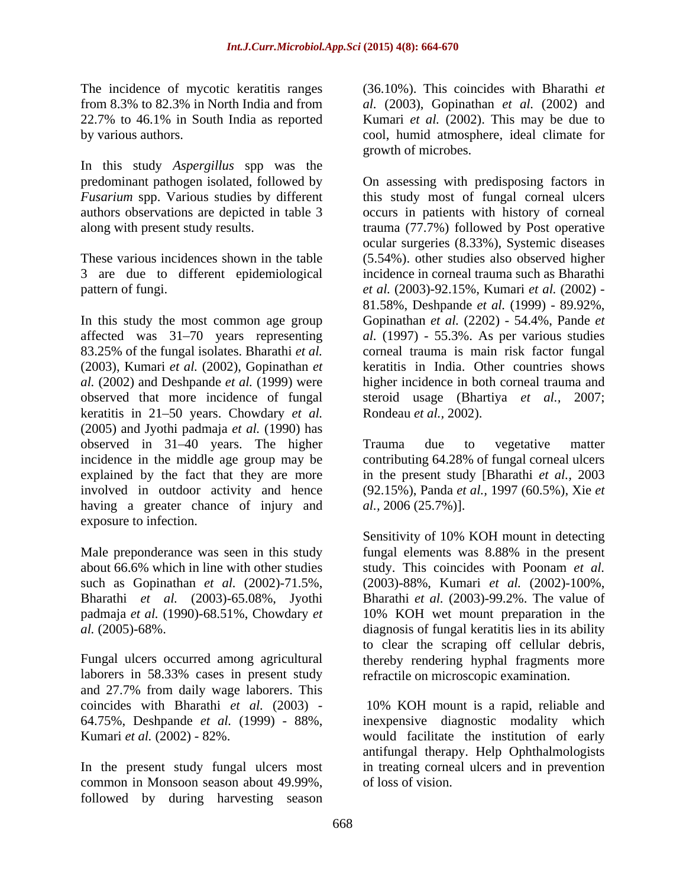In this study *Aspergillus* spp was the authors observations are depicted in table 3

In this study the most common age group Gopinathan *et al.* (2202) - 54.4%, Pande *et*  affected was 31-70 years representing 83.25% of the fungal isolates. Bharathi *et al.*  corneal trauma is main risk factor fungal (2003), Kumari *et al.* (2002), Gopinathan *et al.* (2002) and Deshpande *et al.* (1999) were observed that more incidence of fungal steroid usage (Bhartiya *et al.,* 2007; keratitis in 21–50 years. Chowdary *et al.* (2005) and Jyothi padmaja *etal.* (1990) has observed in 31–40 years. The higher Trauma due to vegetative matter incidence in the middle age group may be contributing 64.28% of fungal corneal ulcers explained by the fact that they are more in the present study [Bharathi *et al.,* 2003 involved in outdoor activity and hence (92.15%), Panda *et al.,* 1997 (60.5%), Xie *et*  having a greater chance of injury and al., 2006 (25.7%)]. exposure to infection.

Male preponderance was seen in this study fungal elements was 8.88% in the present padmaja *et al.* (1990)-68.51%, Chowdary *et* 

laborers in 58.33% cases in present study and 27.7% from daily wage laborers. This coincides with Bharathi *et al.* (2003) - 64.75%, Deshpande *et al.* (1999) - 88%, inexpensive diagnostic modality which

common in Monsoon season about 49.99%, followed by during harvesting season

The incidence of mycotic keratitis ranges (36.10%). This coincides with Bharathi *et*  from 8.3% to 82.3% in North India and from *al.* (2003), Gopinathan *et al.* (2002) and 22.7% to 46.1% in South India as reported Kumari *et al.* (2002). This may be due to by various authors. cool, humid atmosphere, ideal climate for growth of microbes.

predominant pathogen isolated, followed by On assessing with predisposing factors in Fusarium spp. Various studies by different this study most of fungal corneal ulcers along with present study results. trauma (77.7%) followed by Post operative These various incidences shown in the table (5.54%). other studies also observed higher 3 are due to different epidemiological incidence in corneal trauma such as Bharathi pattern of fungi. *et al.* (2003)-92.15%, Kumari *et al.* (2002) occurs in patients with history of corneal ocular surgeries (8.33%), Systemic diseases 81.58%, Deshpande *et al.* (1999) - 89.92%, *al.* (1997) - 55.3%. As per various studies keratitis in India. Other countries shows higher incidence in both corneal trauma and Rondeau *et al.,* 2002).

Trauma due to vegetative matter

about 66.6% which in line with other studies study. This coincides with Poonam *et al.* such as Gopinathan *et al.* (2002)-71.5%, (2003)-88%, Kumari *et al.* (2002)-100%, Bharathi *et al.* (2003)-65.08%, Jyothi Bharathi *et al.* (2003)-99.2%. The value of *al.* (2005)-68%. diagnosis of fungal keratitis lies in its ability Fungal ulcers occurred among agricultural thereby rendering hyphal fragments more *al.*, 2006 (25.7%)].<br>Sensitivity of 10% KOH mount in detecting fungal elements was 8.88% in the present 10% KOH wet mount preparation in the to clear the scraping off cellular debris, refractile on microscopic examination.

Kumari *et al.* (2002) - 82%. The second variable value of early value of early value of early In the present study fungal ulcers most in treating corneal ulcers and in prevention 10% KOH mount is a rapid, reliable and antifungal therapy. Help Ophthalmologists of loss of vision.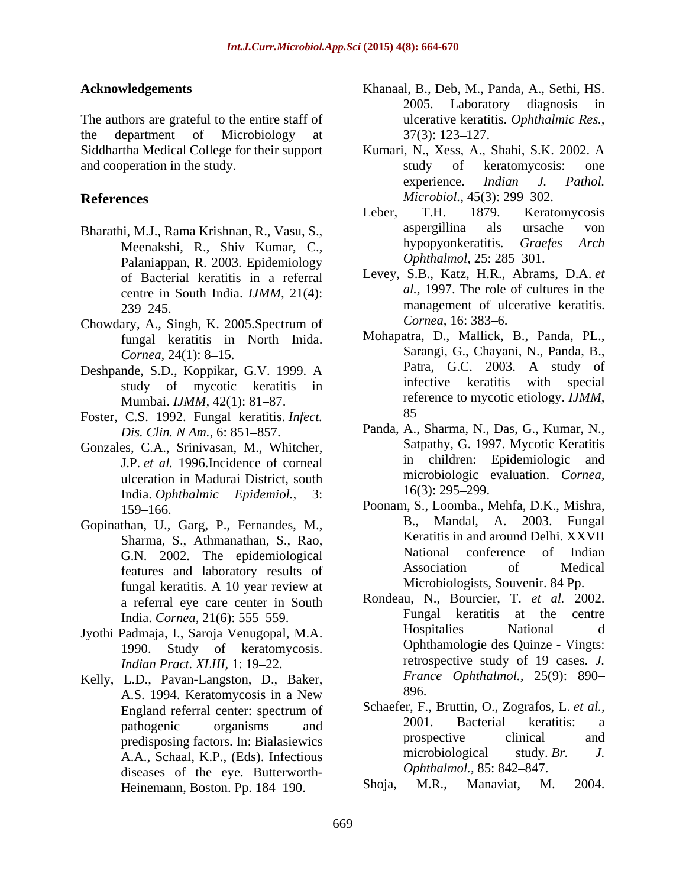The authors are grateful to the entire staff of the department of Microbiology at  $37(3)$ : 123–127. and cooperation in the study. The study study of keratomycosis: one

- Meenakshi, R., Shiv Kumar, C., Palaniappan, R. 2003. Epidemiology of Bacterial keratitis in a referral centre in South India. *IJMM,* 21(4):
- Chowdary, A., Singh, K. 2005.Spectrum of fungal keratitis in North Inida.
- study of mycotic keratitis in Mumbai. *IJMM*, 42(1): 81–87. The reference of the reference of the reference of the reference of the reference of the reference of the reference of the reference of the reference of the reference of the reference of the r
- Foster, C.S. 1992. Fungal keratitis. *Infect.*
- Gonzales, C.A., Srinivasan, M., Whitcher, J.P. *et al.* 1996.Incidence of corneal ulceration in Madurai District, south<br>
India Only hading Fridemial 3. 16(3): 295–299. India. *Ophthalmic Epidemiol.,* 3:
- Gopinathan, U., Garg, P., Fernandes, M., Sharma, S., Athmanathan, S., Rao, features and laboratory results of fungal keratitis. A 10 year review at a referral eye care center in South
- Jyothi Padmaja, I., Saroja Venugopal, M.A. 1990. Study of keratomycosis. *Indian Pract. XLIII, 1: 19-22.*
- Kelly, L.D., Pavan-Langston, D., Baker,  $\frac{1}{4}$  Fran A.S. 1994. Keratomycosis in a New A.A., Schaal, K.P., (Eds). Infectious mucrobiological study.<br>diseases of the eve Butterworth- Ophthalmol., 85: 842–847. diseases of the eye. Butterworth-<br>Heinemann Boston Pp 184, 190 Shoja, M.R., Manaviat, M. 2004. Heinemann, Boston. Pp. 184-190.
- **Acknowledgements** Khanaal, B., Deb, M., Panda, A., Sethi, HS. 2005. Laboratory diagnosis in ulcerative keratitis. *Ophthalmic Res.,*  $37(3)$ : 123–127.
- Siddhartha Medical College for their support Kumari, N., Xess, A., Shahi, S.K. 2002. A study of keratomycosis: one experience. *Indian J. Pathol. Microbiol.,* 45(3): 299–302.
- **References** *Microbiol.*, 45(3): 299–302.<br>Leber, T.H. 1879. Keratomycosis Bharathi, M.J., Rama Krishnan, R., Vasu, S.,<br>
Meenakshi R. Shiv, Kumar, C. Bypopyonkeratitis. Graefes Arch Leber, T.H. 1879. Keratomycosis aspergillina als ursache von hypopyonkeratitis. *Graefes Arch Ophthalmol, 25: 285-301.* 
	- 239–245. Levey, S.B., Katz, H.R., Abrams, D.A. *et al.,* 1997. The role of cultures in the management of ulcerative keratitis. *Cornea,* 16: 383–6.
- *Cornea,* 24(1): 8–15. **Sample 19 16. Sample 19 16.** Sarangi, G., Chayani, N., Panda, B., Deshpande, S.D., Koppikar, G.V. 1999. A<br>
study of mycotic keratitis in infective keratitis with special Mohapatra, D., Mallick, B., Panda, PL., Sarangi, G., Chayani, N., Panda, B., Patra, G.C. 2003. A study of infective keratitis with special reference to mycotic etiology. *IJMM,* 85
	- *Dis. Clin. N Am.*, 6: 851–857. Panda, A., Sharma, N., Das, G., Kumar, N., Satpathy, G. 1997. Mycotic Keratitis in children: Epidemiologic and microbiologic evaluation. *Cornea,*  $16(3)$ : 295–299.
	- 159 166. Poonam, S., Loomba., Mehfa, D.K., Mishra, G.N. 2002. The epidemiological and National conference of Indian G.N. 2002. The epidemiological and National Conference of Indian A. 2003. Fungal Keratitis in and around Delhi. XXVII National conference of Indian Association of Medical Microbiologists, Souvenir. 84 Pp.
	- India. *Cornea,* 21(6): 555 559. Rondeau, N., Bourcier, T. *et al.* 2002. Fungal keratitis at the centre Hospitalies National d Ophthamologie des Quinze - Vingts: retrospective study of 19 cases. *J. France Ophthalmol.,* 25(9): 890 896.
	- England referral center: spectrum of Schaeter, F., Bruttin, O., Zografos, L. et al., pathogenic organisms and 2001. Bacterial keratitis: a predisposing factors. In: Bialasiewics prospective clinical and prospective clinical and  $\Delta$  A Schaal K P (Eds.) Infectious microbiological study. Br. J. Schaefer, F., Bruttin, O., Zografos, L. *et al.,* 2001. Bacterial keratitis: a prospective clinical and microbiological study. *Br. J. Ophthalmol.,* 85: 842–847.
		- Shoja, M.R., Manaviat, M. 2004.